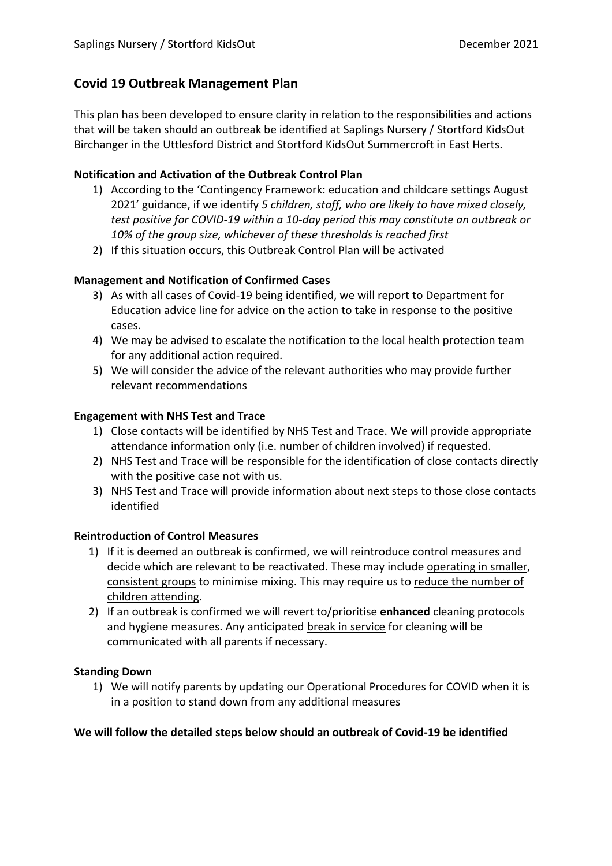# **Covid 19 Outbreak Management Plan**

This plan has been developed to ensure clarity in relation to the responsibilities and actions that will be taken should an outbreak be identified at Saplings Nursery / Stortford KidsOut Birchanger in the Uttlesford District and Stortford KidsOut Summercroft in East Herts.

## **Notification and Activation of the Outbreak Control Plan**

- 1) According to the 'Contingency Framework: education and childcare settings August 2021' guidance, if we identify *5 children, staff, who are likely to have mixed closely, test positive for COVID-19 within a 10-day period this may constitute an outbreak or 10% of the group size, whichever of these thresholds is reached first*
- 2) If this situation occurs, this Outbreak Control Plan will be activated

## **Management and Notification of Confirmed Cases**

- 3) As with all cases of Covid-19 being identified, we will report to Department for Education advice line for advice on the action to take in response to the positive cases.
- 4) We may be advised to escalate the notification to the local health protection team for any additional action required.
- 5) We will consider the advice of the relevant authorities who may provide further relevant recommendations

## **Engagement with NHS Test and Trace**

- 1) Close contacts will be identified by NHS Test and Trace. We will provide appropriate attendance information only (i.e. number of children involved) if requested.
- 2) NHS Test and Trace will be responsible for the identification of close contacts directly with the positive case not with us.
- 3) NHS Test and Trace will provide information about next steps to those close contacts identified

### **Reintroduction of Control Measures**

- 1) If it is deemed an outbreak is confirmed, we will reintroduce control measures and decide which are relevant to be reactivated. These may include operating in smaller, consistent groups to minimise mixing. This may require us to reduce the number of children attending.
- 2) If an outbreak is confirmed we will revert to/prioritise **enhanced** cleaning protocols and hygiene measures. Any anticipated break in service for cleaning will be communicated with all parents if necessary.

### **Standing Down**

1) We will notify parents by updating our Operational Procedures for COVID when it is in a position to stand down from any additional measures

### **We will follow the detailed steps below should an outbreak of Covid-19 be identified**